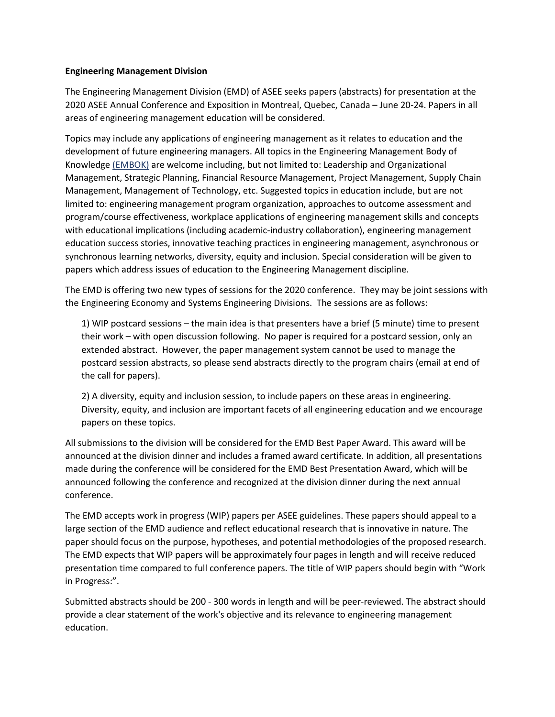## **Engineering Management Division**

The Engineering Management Division (EMD) of ASEE seeks papers (abstracts) for presentation at the 2020 ASEE Annual Conference and Exposition in Montreal, Quebec, Canada – June 20-24. Papers in all areas of engineering management education will be considered.

Topics may include any applications of engineering management as it relates to education and the development of future engineering managers. All topics in the Engineering Management Body of Knowledge [\(EMBOK\)](http://www.asem.org/Store#!/A-Guide-to-the-Engineering-Management-Body-of-Knowledge-EMBOK-4th-Edition/p/66949091/category=0) are welcome including, but not limited to: Leadership and Organizational Management, Strategic Planning, Financial Resource Management, Project Management, Supply Chain Management, Management of Technology, etc. Suggested topics in education include, but are not limited to: engineering management program organization, approaches to outcome assessment and program/course effectiveness, workplace applications of engineering management skills and concepts with educational implications (including academic-industry collaboration), engineering management education success stories, innovative teaching practices in engineering management, asynchronous or synchronous learning networks, diversity, equity and inclusion. Special consideration will be given to papers which address issues of education to the Engineering Management discipline.

The EMD is offering two new types of sessions for the 2020 conference. They may be joint sessions with the Engineering Economy and Systems Engineering Divisions. The sessions are as follows:

1) WIP postcard sessions – the main idea is that presenters have a brief (5 minute) time to present their work – with open discussion following. No paper is required for a postcard session, only an extended abstract. However, the paper management system cannot be used to manage the postcard session abstracts, so please send abstracts directly to the program chairs (email at end of the call for papers).

2) A diversity, equity and inclusion session, to include papers on these areas in engineering. Diversity, equity, and inclusion are important facets of all engineering education and we encourage papers on these topics.

All submissions to the division will be considered for the EMD Best Paper Award. This award will be announced at the division dinner and includes a framed award certificate. In addition, all presentations made during the conference will be considered for the EMD Best Presentation Award, which will be announced following the conference and recognized at the division dinner during the next annual conference.

The EMD accepts work in progress (WIP) papers per ASEE guidelines. These papers should appeal to a large section of the EMD audience and reflect educational research that is innovative in nature. The paper should focus on the purpose, hypotheses, and potential methodologies of the proposed research. The EMD expects that WIP papers will be approximately four pages in length and will receive reduced presentation time compared to full conference papers. The title of WIP papers should begin with "Work in Progress:".

Submitted abstracts should be 200 - 300 words in length and will be peer-reviewed. The abstract should provide a clear statement of the work's objective and its relevance to engineering management education.